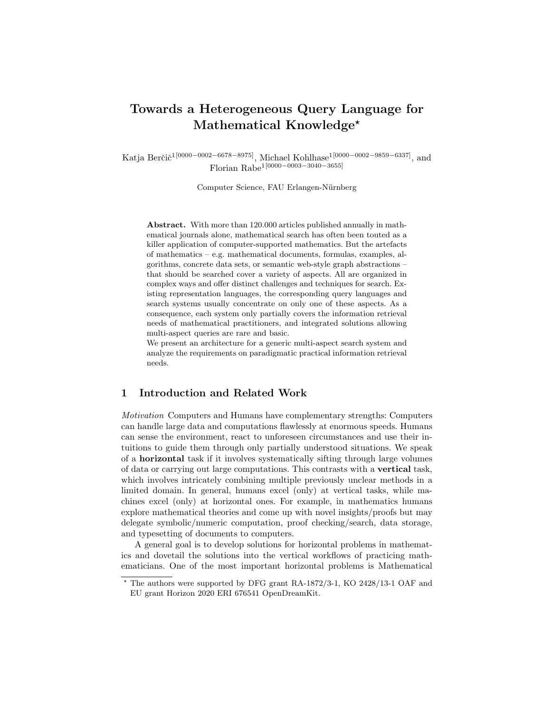# Towards a Heterogeneous Query Language for Mathematical Knowledge<sup>\*</sup>

Katia Berčič<sup>1[0000–0002–6678–8975]</sup>, Michael Kohlhase<sup>1[0000–0002–9859–6337]</sup>, and Florian Rabe1[0000−0003−3040−3655]

Computer Science, FAU Erlangen-Nürnberg

Abstract. With more than 120.000 articles published annually in mathematical journals alone, mathematical search has often been touted as a killer application of computer-supported mathematics. But the artefacts of mathematics – e.g. mathematical documents, formulas, examples, algorithms, concrete data sets, or semantic web-style graph abstractions – that should be searched cover a variety of aspects. All are organized in complex ways and offer distinct challenges and techniques for search. Existing representation languages, the corresponding query languages and search systems usually concentrate on only one of these aspects. As a consequence, each system only partially covers the information retrieval needs of mathematical practitioners, and integrated solutions allowing multi-aspect queries are rare and basic.

We present an architecture for a generic multi-aspect search system and analyze the requirements on paradigmatic practical information retrieval needs.

## 1 Introduction and Related Work

Motivation Computers and Humans have complementary strengths: Computers can handle large data and computations flawlessly at enormous speeds. Humans can sense the environment, react to unforeseen circumstances and use their intuitions to guide them through only partially understood situations. We speak of a horizontal task if it involves systematically sifting through large volumes of data or carrying out large computations. This contrasts with a vertical task, which involves intricately combining multiple previously unclear methods in a limited domain. In general, humans excel (only) at vertical tasks, while machines excel (only) at horizontal ones. For example, in mathematics humans explore mathematical theories and come up with novel insights/proofs but may delegate symbolic/numeric computation, proof checking/search, data storage, and typesetting of documents to computers.

A general goal is to develop solutions for horizontal problems in mathematics and dovetail the solutions into the vertical workflows of practicing mathematicians. One of the most important horizontal problems is Mathematical

 $*$  The authors were supported by DFG grant RA-1872/3-1, KO 2428/13-1 OAF and EU grant Horizon 2020 ERI 676541 OpenDreamKit.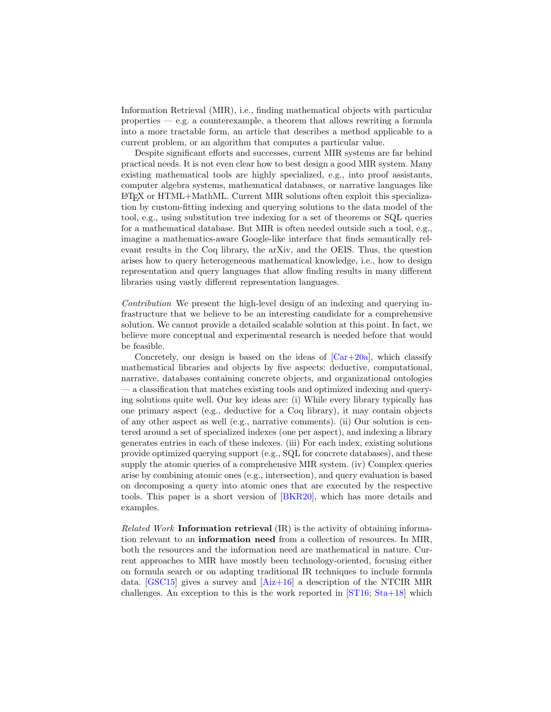Information Retrieval (MIR), i.e., finding mathematical objects with particular properties  $-$  e.g. a counterexample, a theorem that allows rewriting a formula into a more tractable form, an article that describes a method applicable to a current problem, or an algorithm that computes a particular value.

Despite significant efforts and successes, current MIR systems are far behind practical needs. It is not even clear how to best design a good MIR system. Many existing mathematical tools are highly specialized, e.g., into proof assistants, computer algebra systems, mathematical databases, or narrative languages like LATEX or HTML+MathML. Current MIR solutions often exploit this specialization by custom-fitting indexing and querying solutions to the data model of the tool, e.g., using substitution tree indexing for a set of theorems or SQL queries for a mathematical database. But MIR is often needed outside such a tool, e.g., imagine a mathematics-aware Google-like interface that finds semantically relevant results in the Coq library, the arXiv, and the OEIS. Thus, the question arises how to query heterogeneous mathematical knowledge, i.e., how to design representation and query languages that allow finding results in many different libraries using vastly different representation languages.

Contribution We present the high-level design of an indexing and querying infrastructure that we believe to be an interesting candidate for a comprehensive solution. We cannot provide a detailed scalable solution at this point. In fact, we believe more conceptual and experimental research is needed before that would be feasible.

Concretely, our design is based on the ideas of  $[Car+20a]$ , which classify mathematical libraries and objects by five aspects: deductive, computational, narrative, databases containing concrete objects, and organizational ontologies — a classification that matches existing tools and optimized indexing and querying solutions quite well. Our key ideas are: (i) While every library typically has one primary aspect (e.g., deductive for a Coq library), it may contain objects of any other aspect as well (e.g., narrative comments). (ii) Our solution is centered around a set of specialized indexes (one per aspect), and indexing a library generates entries in each of these indexes. (iii) For each index, existing solutions provide optimized querying support (e.g., SQL for concrete databases), and these supply the atomic queries of a comprehensive MIR system. (iv) Complex queries arise by combining atomic ones (e.g., intersection), and query evaluation is based on decomposing a query into atomic ones that are executed by the respective tools. This paper is a short version of [\[BKR20\]](#page-14-1), which has more details and examples.

Related Work Information retrieval (IR) is the activity of obtaining information relevant to an information need from a collection of resources. In MIR, both the resources and the information need are mathematical in nature. Current approaches to MIR have mostly been technology-oriented, focusing either on formula search or on adapting traditional IR techniques to include formula data. [\[GSC15\]](#page-15-0) gives a survey and [\[Aiz+16\]](#page-14-2) a description of the NTCIR MIR challenges. An exception to this is the work reported in  $ST16$ ;  $Sta+18$  which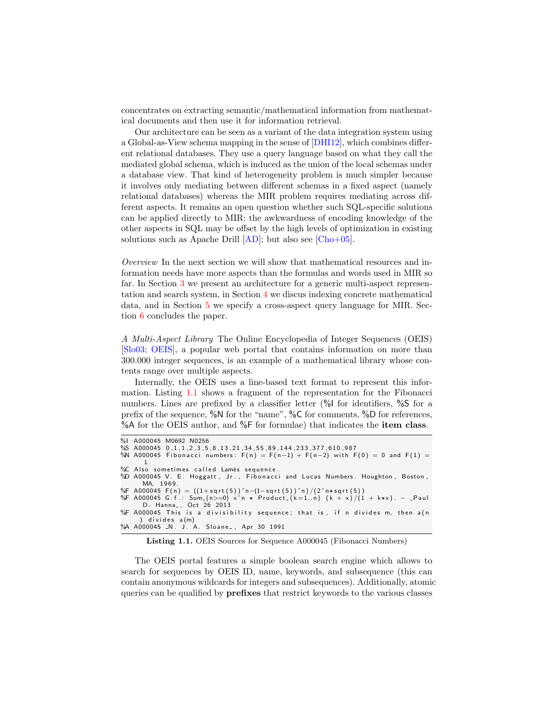concentrates on extracting semantic/mathematical information from mathematical documents and then use it for information retrieval.

Our architecture can be seen as a variant of the data integration system using a Global-as-View schema mapping in the sense of [\[DHI12\]](#page-14-3), which combines different relational databases. They use a query language based on what they call the mediated global schema, which is induced as the union of the local schemas under a database view. That kind of heterogeneity problem is much simpler because it involves only mediating between different schemas in a fixed aspect (namely relational databases) whereas the MIR problem requires mediating across different aspects. It remains an open question whether such SQL-specific solutions can be applied directly to MIR: the awkwardness of encoding knowledge of the other aspects in SQL may be offset by the high levels of optimization in existing solutions such as Apache Drill [\[AD\]](#page-14-4); but also see [\[Cho+05\]](#page-14-5).

Overview In the next section we will show that mathematical resources and information needs have more aspects than the formulas and words used in MIR so far. In Section [3](#page-4-0) we present an architecture for a generic multi-aspect representation and search system, in Section [4](#page-7-0) we discus indexing concrete mathematical data, and in Section [5](#page-10-0) we specify a cross-aspect query language for MIR. Section [6](#page-13-0) concludes the paper.

A Multi-Aspect Library The Online Encyclopedia of Integer Sequences (OEIS) [\[Slo03;](#page-15-3) [OEIS\]](#page-15-4), a popular web portal that contains information on more than 300.000 integer sequences, is an example of a mathematical library whose contents range over multiple aspects.

Internally, the OEIS uses a line-based text format to represent this information. Listing [1.1](#page-2-0) shows a fragment of the representation for the Fibonacci numbers. Lines are prefixed by a classifier letter (%I for identifiers, %S for a prefix of the sequence, %N for the "name", %C for comments, %D for references, %A for the OEIS author, and %F for formulae) that indicates the item class.

```
%I A000045 M0692 N0256
%S A000045 0,1,1,2,3,5,8,13,21,34,55,89,144,233,377,610,987<br>%N A000045 Fibonacci numbers: F(n) = F(n-1) + F(n-2) with F
   A000045 Fibonacci numbers: F(n) = F(n-1) + F(n-2) with F(0) = 0 and F(1) =1 .
%C Also sometimes called Lamés sequence.
%D A000045 V. E. Hoggatt, Jr., Fibonacci and Lucas Numbers. Houghton, Boston,
      MA, 1969.
%F A000045 F(n) = ((1+sqrt(5))^n-(1-sqrt(5))^n)/(2^n*sqrt(5))<br>%F A000045 G.f.: Sum {n>=0} x^n * Product {k=1..n} (k + x)/(1
   A000045 G. f.: Sum {n>=0} x^2n * Product {k=1..n} (k + x)/(1 + k*x). – Paul
       D. Hanna<sub>-</sub>, Oct 26 2013
    A000045 This is a divisibility sequence; that is, if n divides m, then a(n
     ) divides a(m)
%A A000045 _N. J. A. Sloane_, Apr 30 1991
```
Listing 1.1. OEIS Sources for Sequence A000045 (Fibonacci Numbers)

The OEIS portal features a simple boolean search engine which allows to search for sequences by OEIS ID, name, keywords, and subsequence (this can contain anonymous wildcards for integers and subsequences). Additionally, atomic queries can be qualified by prefixes that restrict keywords to the various classes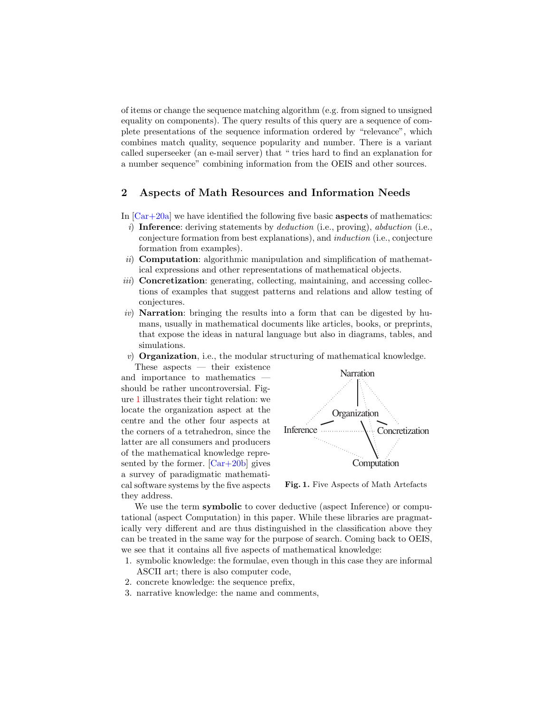of items or change the sequence matching algorithm (e.g. from signed to unsigned equality on components). The query results of this query are a sequence of complete presentations of the sequence information ordered by "relevance", which combines match quality, sequence popularity and number. There is a variant called superseeker (an e-mail server) that " tries hard to find an explanation for a number sequence" combining information from the OEIS and other sources.

## 2 Aspects of Math Resources and Information Needs

In  $[Car+20a]$  we have identified the following five basic **aspects** of mathematics:

- i) Inference: deriving statements by *deduction* (i.e., proving), *abduction* (i.e., conjecture formation from best explanations), and induction (i.e., conjecture formation from examples).
- $ii)$  **Computation**: algorithmic manipulation and simplification of mathematical expressions and other representations of mathematical objects.
- iii) Concretization: generating, collecting, maintaining, and accessing collections of examples that suggest patterns and relations and allow testing of conjectures.
- iv) **Narration**: bringing the results into a form that can be digested by humans, usually in mathematical documents like articles, books, or preprints, that expose the ideas in natural language but also in diagrams, tables, and simulations.
- $v)$  **Organization**, i.e., the modular structuring of mathematical knowledge.

These aspects — their existence and importance to mathematics should be rather uncontroversial. Figure [1](#page-3-0) illustrates their tight relation: we locate the organization aspect at the centre and the other four aspects at the corners of a tetrahedron, since the latter are all consumers and producers of the mathematical knowledge represented by the former.  $[Car+20b]$  gives a survey of paradigmatic mathematical software systems by the five aspects they address.



<span id="page-3-0"></span>Fig. 1. Five Aspects of Math Artefacts

We use the term **symbolic** to cover deductive (aspect Inference) or computational (aspect Computation) in this paper. While these libraries are pragmatically very different and are thus distinguished in the classification above they can be treated in the same way for the purpose of search. Coming back to OEIS, we see that it contains all five aspects of mathematical knowledge:

- 1. symbolic knowledge: the formulae, even though in this case they are informal ASCII art; there is also computer code,
- 2. concrete knowledge: the sequence prefix,
- 3. narrative knowledge: the name and comments,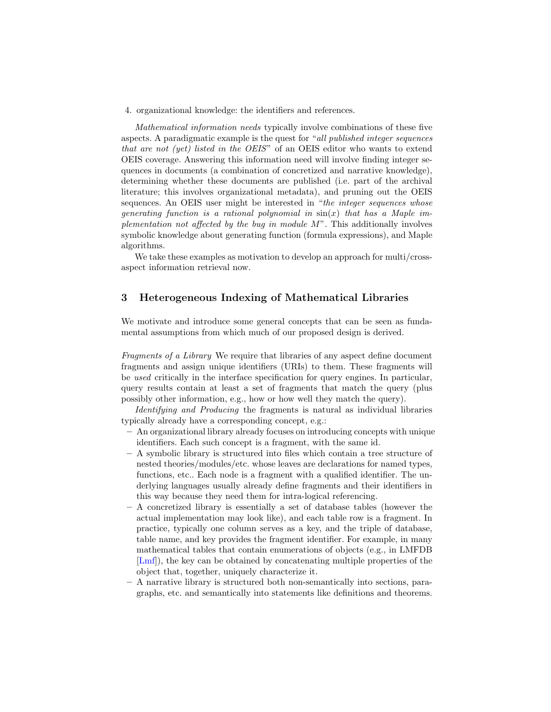4. organizational knowledge: the identifiers and references.

Mathematical information needs typically involve combinations of these five aspects. A paradigmatic example is the quest for "all published integer sequences that are not (yet) listed in the OEIS" of an OEIS editor who wants to extend OEIS coverage. Answering this information need will involve finding integer sequences in documents (a combination of concretized and narrative knowledge), determining whether these documents are published (i.e. part of the archival literature; this involves organizational metadata), and pruning out the OEIS sequences. An OEIS user might be interested in "the integer sequences whose generating function is a rational polynomial in  $\sin(x)$  that has a Maple implementation not affected by the bug in module  $M$ ". This additionally involves symbolic knowledge about generating function (formula expressions), and Maple algorithms.

We take these examples as motivation to develop an approach for multi/crossaspect information retrieval now.

## <span id="page-4-0"></span>3 Heterogeneous Indexing of Mathematical Libraries

We motivate and introduce some general concepts that can be seen as fundamental assumptions from which much of our proposed design is derived.

Fragments of a Library We require that libraries of any aspect define document fragments and assign unique identifiers (URIs) to them. These fragments will be used critically in the interface specification for query engines. In particular, query results contain at least a set of fragments that match the query (plus possibly other information, e.g., how or how well they match the query).

Identifying and Producing the fragments is natural as individual libraries typically already have a corresponding concept, e.g.:

- An organizational library already focuses on introducing concepts with unique identifiers. Each such concept is a fragment, with the same id.
- A symbolic library is structured into files which contain a tree structure of nested theories/modules/etc. whose leaves are declarations for named types, functions, etc.. Each node is a fragment with a qualified identifier. The underlying languages usually already define fragments and their identifiers in this way because they need them for intra-logical referencing.
- A concretized library is essentially a set of database tables (however the actual implementation may look like), and each table row is a fragment. In practice, typically one column serves as a key, and the triple of database, table name, and key provides the fragment identifier. For example, in many mathematical tables that contain enumerations of objects (e.g., in LMFDB [\[Lmf\]](#page-15-5)), the key can be obtained by concatenating multiple properties of the object that, together, uniquely characterize it.
- A narrative library is structured both non-semantically into sections, paragraphs, etc. and semantically into statements like definitions and theorems.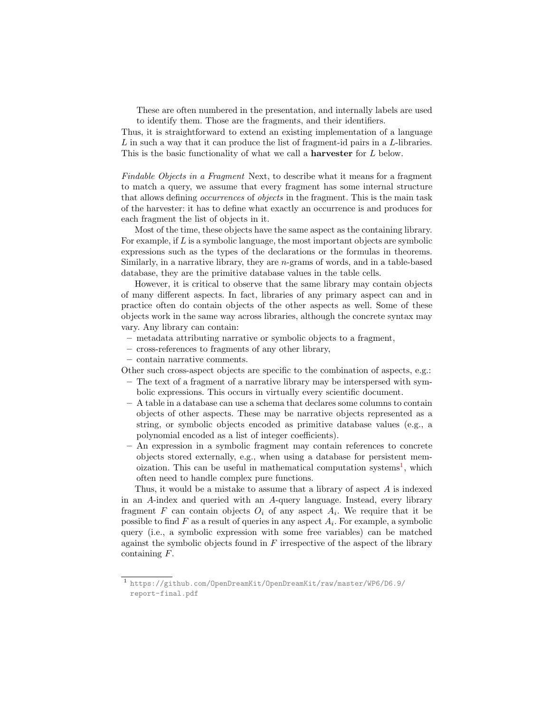These are often numbered in the presentation, and internally labels are used to identify them. Those are the fragments, and their identifiers.

Thus, it is straightforward to extend an existing implementation of a language L in such a way that it can produce the list of fragment-id pairs in a L-libraries. This is the basic functionality of what we call a harvester for L below.

Findable Objects in a Fragment Next, to describe what it means for a fragment to match a query, we assume that every fragment has some internal structure that allows defining occurrences of objects in the fragment. This is the main task of the harvester: it has to define what exactly an occurrence is and produces for each fragment the list of objects in it.

Most of the time, these objects have the same aspect as the containing library. For example, if L is a symbolic language, the most important objects are symbolic expressions such as the types of the declarations or the formulas in theorems. Similarly, in a narrative library, they are  $n$ -grams of words, and in a table-based database, they are the primitive database values in the table cells.

However, it is critical to observe that the same library may contain objects of many different aspects. In fact, libraries of any primary aspect can and in practice often do contain objects of the other aspects as well. Some of these objects work in the same way across libraries, although the concrete syntax may vary. Any library can contain:

- metadata attributing narrative or symbolic objects to a fragment,
- cross-references to fragments of any other library,
- contain narrative comments.

Other such cross-aspect objects are specific to the combination of aspects, e.g.:

- The text of a fragment of a narrative library may be interspersed with symbolic expressions. This occurs in virtually every scientific document.
- A table in a database can use a schema that declares some columns to contain objects of other aspects. These may be narrative objects represented as a string, or symbolic objects encoded as primitive database values (e.g., a polynomial encoded as a list of integer coefficients).
- An expression in a symbolic fragment may contain references to concrete objects stored externally, e.g., when using a database for persistent mem-oization. This can be useful in mathematical computation systems<sup>[1](#page-5-0)</sup>, which often need to handle complex pure functions.

Thus, it would be a mistake to assume that a library of aspect  $A$  is indexed in an A-index and queried with an A-query language. Instead, every library fragment F can contain objects  $O_i$  of any aspect  $A_i$ . We require that it be possible to find  $F$  as a result of queries in any aspect  $A_i$ . For example, a symbolic query (i.e., a symbolic expression with some free variables) can be matched against the symbolic objects found in  $F$  irrespective of the aspect of the library containing F.

<span id="page-5-0"></span><sup>1</sup> [https://github.com/OpenDreamKit/OpenDreamKit/raw/master/WP6/D6.9/](https://github.com/OpenDreamKit/OpenDreamKit/raw/master/WP6/D6.9/report-final.pdf) [report-final.pdf](https://github.com/OpenDreamKit/OpenDreamKit/raw/master/WP6/D6.9/report-final.pdf)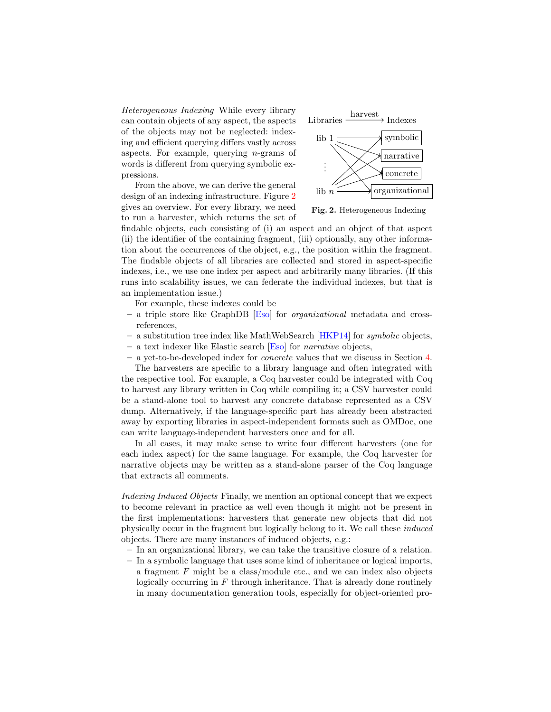Heterogeneous Indexing While every library can contain objects of any aspect, the aspects of the objects may not be neglected: indexing and efficient querying differs vastly across aspects. For example, querying  $n$ -grams of words is different from querying symbolic expressions.

From the above, we can derive the general design of an indexing infrastructure. Figure [2](#page-6-0) gives an overview. For every library, we need to run a harvester, which returns the set of



<span id="page-6-0"></span>Fig. 2. Heterogeneous Indexing

findable objects, each consisting of (i) an aspect and an object of that aspect (ii) the identifier of the containing fragment, (iii) optionally, any other information about the occurrences of the object, e.g., the position within the fragment. The findable objects of all libraries are collected and stored in aspect-specific indexes, i.e., we use one index per aspect and arbitrarily many libraries. (If this runs into scalability issues, we can federate the individual indexes, but that is an implementation issue.)

For example, these indexes could be

- a triple store like GraphDB [\[Eso\]](#page-15-6) for organizational metadata and crossreferences,
- $-$  a substitution tree index like MathWebSearch [\[HKP14\]](#page-15-7) for *symbolic* objects,
- $-$  a text indexer like Elastic search  $\text{[Eso]}$  $\text{[Eso]}$  $\text{[Eso]}$  for *narrative* objects,
- a yet-to-be-developed index for concrete values that we discuss in Section [4.](#page-7-0)

The harvesters are specific to a library language and often integrated with the respective tool. For example, a Coq harvester could be integrated with Coq to harvest any library written in Coq while compiling it; a CSV harvester could be a stand-alone tool to harvest any concrete database represented as a CSV dump. Alternatively, if the language-specific part has already been abstracted away by exporting libraries in aspect-independent formats such as OMDoc, one can write language-independent harvesters once and for all.

In all cases, it may make sense to write four different harvesters (one for each index aspect) for the same language. For example, the Coq harvester for narrative objects may be written as a stand-alone parser of the Coq language that extracts all comments.

Indexing Induced Objects Finally, we mention an optional concept that we expect to become relevant in practice as well even though it might not be present in the first implementations: harvesters that generate new objects that did not physically occur in the fragment but logically belong to it. We call these induced objects. There are many instances of induced objects, e.g.:

- In an organizational library, we can take the transitive closure of a relation.
- In a symbolic language that uses some kind of inheritance or logical imports, a fragment  $F$  might be a class/module etc., and we can index also objects logically occurring in  $F$  through inheritance. That is already done routinely in many documentation generation tools, especially for object-oriented pro-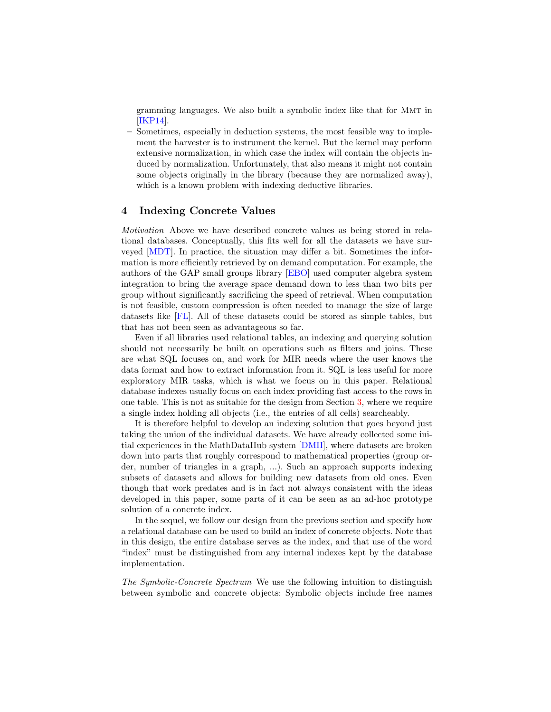gramming languages. We also built a symbolic index like that for Mmt in [\[IKP14\]](#page-15-8).

– Sometimes, especially in deduction systems, the most feasible way to implement the harvester is to instrument the kernel. But the kernel may perform extensive normalization, in which case the index will contain the objects induced by normalization. Unfortunately, that also means it might not contain some objects originally in the library (because they are normalized away), which is a known problem with indexing deductive libraries.

#### <span id="page-7-0"></span>4 Indexing Concrete Values

Motivation Above we have described concrete values as being stored in relational databases. Conceptually, this fits well for all the datasets we have surveyed [\[MDT\]](#page-15-9). In practice, the situation may differ a bit. Sometimes the information is more efficiently retrieved by on demand computation. For example, the authors of the GAP small groups library [\[EBO\]](#page-14-7) used computer algebra system integration to bring the average space demand down to less than two bits per group without significantly sacrificing the speed of retrieval. When computation is not feasible, custom compression is often needed to manage the size of large datasets like [\[FL\]](#page-15-10). All of these datasets could be stored as simple tables, but that has not been seen as advantageous so far.

Even if all libraries used relational tables, an indexing and querying solution should not necessarily be built on operations such as filters and joins. These are what SQL focuses on, and work for MIR needs where the user knows the data format and how to extract information from it. SQL is less useful for more exploratory MIR tasks, which is what we focus on in this paper. Relational database indexes usually focus on each index providing fast access to the rows in one table. This is not as suitable for the design from Section [3,](#page-4-0) where we require a single index holding all objects (i.e., the entries of all cells) searcheably.

It is therefore helpful to develop an indexing solution that goes beyond just taking the union of the individual datasets. We have already collected some initial experiences in the MathDataHub system [\[DMH\]](#page-14-8), where datasets are broken down into parts that roughly correspond to mathematical properties (group order, number of triangles in a graph, ...). Such an approach supports indexing subsets of datasets and allows for building new datasets from old ones. Even though that work predates and is in fact not always consistent with the ideas developed in this paper, some parts of it can be seen as an ad-hoc prototype solution of a concrete index.

In the sequel, we follow our design from the previous section and specify how a relational database can be used to build an index of concrete objects. Note that in this design, the entire database serves as the index, and that use of the word "index" must be distinguished from any internal indexes kept by the database implementation.

The Symbolic-Concrete Spectrum We use the following intuition to distinguish between symbolic and concrete objects: Symbolic objects include free names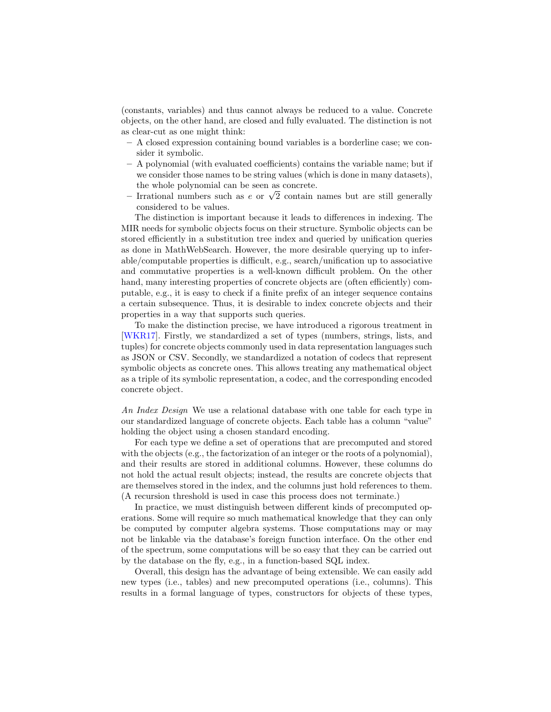(constants, variables) and thus cannot always be reduced to a value. Concrete objects, on the other hand, are closed and fully evaluated. The distinction is not as clear-cut as one might think:

- A closed expression containing bound variables is a borderline case; we consider it symbolic.
- A polynomial (with evaluated coefficients) contains the variable name; but if we consider those names to be string values (which is done in many datasets), the whole polynomial can be seen as concrete.
- the whole polynomial can be seen as concrete.<br>  $-$  Irrational numbers such as e or  $\sqrt{2}$  contain names but are still generally considered to be values.

The distinction is important because it leads to differences in indexing. The MIR needs for symbolic objects focus on their structure. Symbolic objects can be stored efficiently in a substitution tree index and queried by unification queries as done in MathWebSearch. However, the more desirable querying up to inferable/computable properties is difficult, e.g., search/unification up to associative and commutative properties is a well-known difficult problem. On the other hand, many interesting properties of concrete objects are (often efficiently) computable, e.g., it is easy to check if a finite prefix of an integer sequence contains a certain subsequence. Thus, it is desirable to index concrete objects and their properties in a way that supports such queries.

To make the distinction precise, we have introduced a rigorous treatment in [\[WKR17\]](#page-15-11). Firstly, we standardized a set of types (numbers, strings, lists, and tuples) for concrete objects commonly used in data representation languages such as JSON or CSV. Secondly, we standardized a notation of codecs that represent symbolic objects as concrete ones. This allows treating any mathematical object as a triple of its symbolic representation, a codec, and the corresponding encoded concrete object.

An Index Design We use a relational database with one table for each type in our standardized language of concrete objects. Each table has a column "value" holding the object using a chosen standard encoding.

For each type we define a set of operations that are precomputed and stored with the objects (e.g., the factorization of an integer or the roots of a polynomial), and their results are stored in additional columns. However, these columns do not hold the actual result objects; instead, the results are concrete objects that are themselves stored in the index, and the columns just hold references to them. (A recursion threshold is used in case this process does not terminate.)

In practice, we must distinguish between different kinds of precomputed operations. Some will require so much mathematical knowledge that they can only be computed by computer algebra systems. Those computations may or may not be linkable via the database's foreign function interface. On the other end of the spectrum, some computations will be so easy that they can be carried out by the database on the fly, e.g., in a function-based SQL index.

Overall, this design has the advantage of being extensible. We can easily add new types (i.e., tables) and new precomputed operations (i.e., columns). This results in a formal language of types, constructors for objects of these types,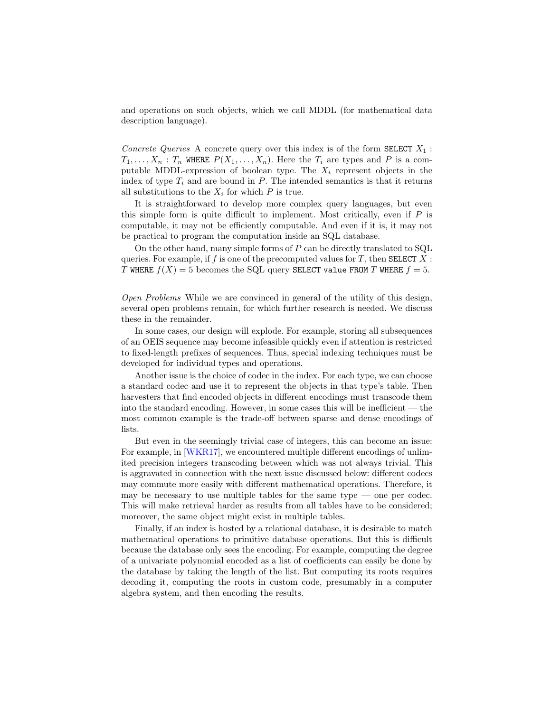and operations on such objects, which we call MDDL (for mathematical data description language).

Concrete Queries A concrete query over this index is of the form SELECT  $X_1$ :  $T_1, \ldots, X_n : T_n$  WHERE  $P(X_1, \ldots, X_n)$ . Here the  $T_i$  are types and P is a computable MDDL-expression of boolean type. The  $X_i$  represent objects in the index of type  $T_i$  and are bound in  $P$ . The intended semantics is that it returns all substitutions to the  $X_i$  for which P is true.

It is straightforward to develop more complex query languages, but even this simple form is quite difficult to implement. Most critically, even if  $P$  is computable, it may not be efficiently computable. And even if it is, it may not be practical to program the computation inside an SQL database.

On the other hand, many simple forms of P can be directly translated to SQL queries. For example, if f is one of the precomputed values for T, then SELECT  $X$ : T WHERE  $f(X) = 5$  becomes the SQL query SELECT value FROM T WHERE  $f = 5$ .

Open Problems While we are convinced in general of the utility of this design, several open problems remain, for which further research is needed. We discuss these in the remainder.

In some cases, our design will explode. For example, storing all subsequences of an OEIS sequence may become infeasible quickly even if attention is restricted to fixed-length prefixes of sequences. Thus, special indexing techniques must be developed for individual types and operations.

Another issue is the choice of codec in the index. For each type, we can choose a standard codec and use it to represent the objects in that type's table. Then harvesters that find encoded objects in different encodings must transcode them into the standard encoding. However, in some cases this will be inefficient — the most common example is the trade-off between sparse and dense encodings of lists.

But even in the seemingly trivial case of integers, this can become an issue: For example, in [\[WKR17\]](#page-15-11), we encountered multiple different encodings of unlimited precision integers transcoding between which was not always trivial. This is aggravated in connection with the next issue discussed below: different codecs may commute more easily with different mathematical operations. Therefore, it may be necessary to use multiple tables for the same type  $-$  one per codec. This will make retrieval harder as results from all tables have to be considered; moreover, the same object might exist in multiple tables.

Finally, if an index is hosted by a relational database, it is desirable to match mathematical operations to primitive database operations. But this is difficult because the database only sees the encoding. For example, computing the degree of a univariate polynomial encoded as a list of coefficients can easily be done by the database by taking the length of the list. But computing its roots requires decoding it, computing the roots in custom code, presumably in a computer algebra system, and then encoding the results.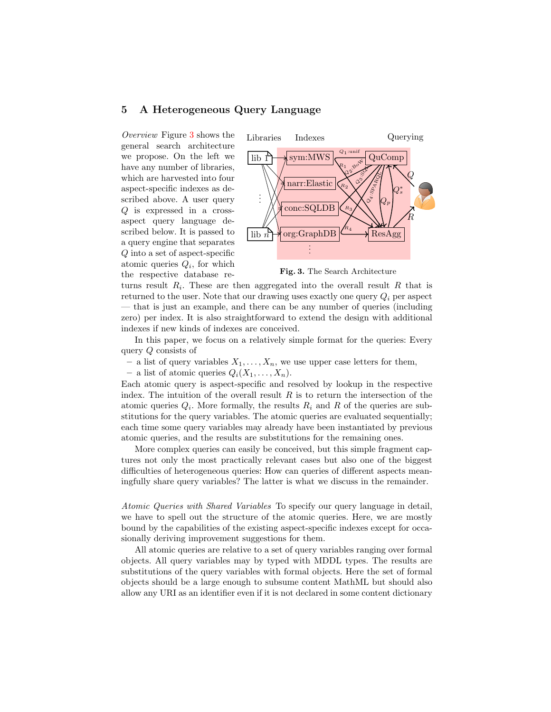## <span id="page-10-0"></span>5 A Heterogeneous Query Language

Overview Figure [3](#page-10-1) shows the general search architecture we propose. On the left we have any number of libraries, which are harvested into four aspect-specific indexes as described above. A user query Q is expressed in a crossaspect query language described below. It is passed to a query engine that separates Q into a set of aspect-specific atomic queries  $Q_i$ , for which the respective database re-



<span id="page-10-1"></span>Fig. 3. The Search Architecture

turns result  $R_i$ . These are then aggregated into the overall result R that is returned to the user. Note that our drawing uses exactly one query  $Q_i$  per aspect — that is just an example, and there can be any number of queries (including zero) per index. It is also straightforward to extend the design with additional indexes if new kinds of indexes are conceived.

In this paper, we focus on a relatively simple format for the queries: Every query Q consists of

– a list of query variables  $X_1, \ldots, X_n$ , we use upper case letters for them,

– a list of atomic queries  $Q_i(X_1, \ldots, X_n)$ .

Each atomic query is aspect-specific and resolved by lookup in the respective index. The intuition of the overall result  $R$  is to return the intersection of the atomic queries  $Q_i$ . More formally, the results  $R_i$  and R of the queries are substitutions for the query variables. The atomic queries are evaluated sequentially; each time some query variables may already have been instantiated by previous atomic queries, and the results are substitutions for the remaining ones.

More complex queries can easily be conceived, but this simple fragment captures not only the most practically relevant cases but also one of the biggest difficulties of heterogeneous queries: How can queries of different aspects meaningfully share query variables? The latter is what we discuss in the remainder.

Atomic Queries with Shared Variables To specify our query language in detail, we have to spell out the structure of the atomic queries. Here, we are mostly bound by the capabilities of the existing aspect-specific indexes except for occasionally deriving improvement suggestions for them.

All atomic queries are relative to a set of query variables ranging over formal objects. All query variables may by typed with MDDL types. The results are substitutions of the query variables with formal objects. Here the set of formal objects should be a large enough to subsume content MathML but should also allow any URI as an identifier even if it is not declared in some content dictionary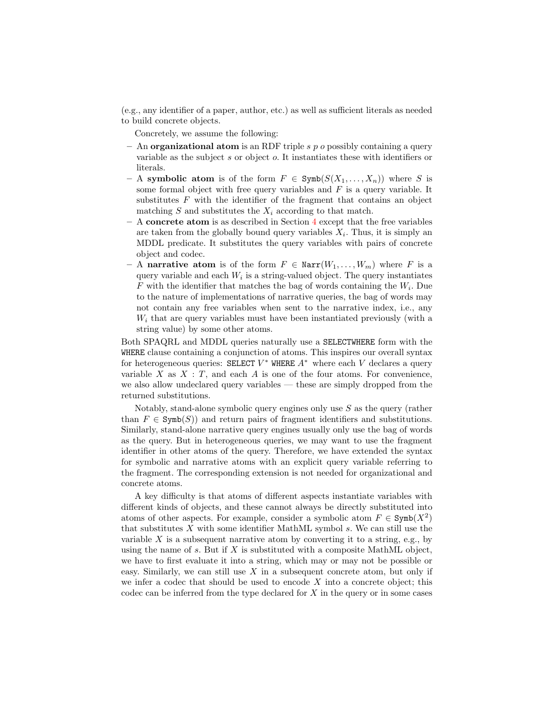(e.g., any identifier of a paper, author, etc.) as well as sufficient literals as needed to build concrete objects.

Concretely, we assume the following:

- An organizational atom is an RDF triple s p o possibly containing a query variable as the subject s or object  $o$ . It instantiates these with identifiers or literals.
- A symbolic atom is of the form  $F \in \text{Symb}(S(X_1,\ldots,X_n))$  where S is some formal object with free query variables and  $F$  is a query variable. It substitutes  $F$  with the identifier of the fragment that contains an object matching  $S$  and substitutes the  $X_i$  according to that match.
- A concrete atom is as described in Section [4](#page-7-0) except that the free variables are taken from the globally bound query variables  $X_i$ . Thus, it is simply an MDDL predicate. It substitutes the query variables with pairs of concrete object and codec.
- A narrative atom is of the form  $F \in \text{Narr}(W_1, \ldots, W_m)$  where F is a query variable and each  $W_i$  is a string-valued object. The query instantiates  $F$  with the identifier that matches the bag of words containing the  $W_i$ . Due to the nature of implementations of narrative queries, the bag of words may not contain any free variables when sent to the narrative index, i.e., any  $W<sub>i</sub>$  that are query variables must have been instantiated previously (with a string value) by some other atoms.

Both SPAQRL and MDDL queries naturally use a SELECTWHERE form with the WHERE clause containing a conjunction of atoms. This inspires our overall syntax for heterogeneous queries: SELECT  $V^*$  WHERE  $A^*$  where each  $V$  declares a query variable  $X$  as  $X : T$ , and each  $A$  is one of the four atoms. For convenience, we also allow undeclared query variables — these are simply dropped from the returned substitutions.

Notably, stand-alone symbolic query engines only use S as the query (rather than  $F \in \text{Symb}(S)$  and return pairs of fragment identifiers and substitutions. Similarly, stand-alone narrative query engines usually only use the bag of words as the query. But in heterogeneous queries, we may want to use the fragment identifier in other atoms of the query. Therefore, we have extended the syntax for symbolic and narrative atoms with an explicit query variable referring to the fragment. The corresponding extension is not needed for organizational and concrete atoms.

A key difficulty is that atoms of different aspects instantiate variables with different kinds of objects, and these cannot always be directly substituted into atoms of other aspects. For example, consider a symbolic atom  $F \in \text{Symb}(X^2)$ that substitutes  $X$  with some identifier MathML symbol  $s$ . We can still use the variable  $X$  is a subsequent narrative atom by converting it to a string, e.g., by using the name of s. But if  $X$  is substituted with a composite MathML object, we have to first evaluate it into a string, which may or may not be possible or easy. Similarly, we can still use  $X$  in a subsequent concrete atom, but only if we infer a codec that should be used to encode  $X$  into a concrete object; this codec can be inferred from the type declared for  $X$  in the query or in some cases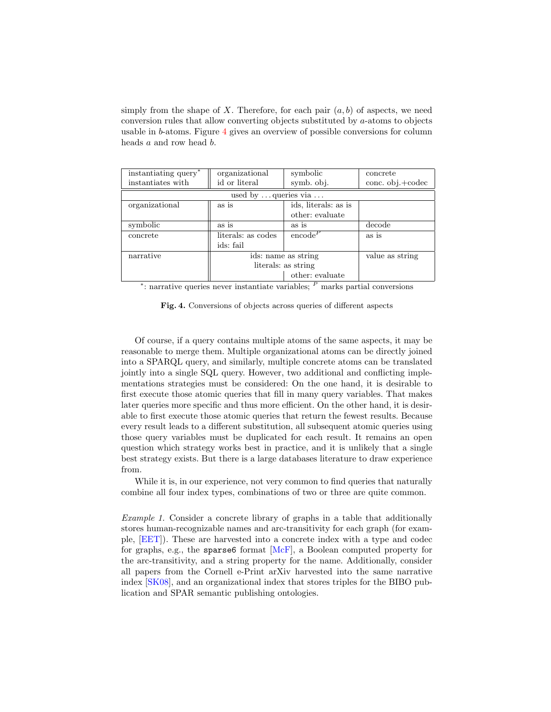simply from the shape of X. Therefore, for each pair  $(a, b)$  of aspects, we need conversion rules that allow converting objects substituted by a-atoms to objects usable in b-atoms. Figure [4](#page-12-0) gives an overview of possible conversions for column heads a and row head b.

| instantiating query*                | organizational      | symbolic             | concrete         |
|-------------------------------------|---------------------|----------------------|------------------|
| instantiates with                   | id or literal       | symb. obj.           | conc. obj.+codec |
| used by $\dots$ queries via $\dots$ |                     |                      |                  |
| organizational                      | as is               | ids, literals: as is |                  |
|                                     |                     | other: evaluate      |                  |
| symbolic                            | as is               | as is                | decode           |
| concrete                            | literals: as codes  | $\mathbf{encode}^P$  | as is            |
|                                     | ids: fail           |                      |                  |
| narrative                           | ids: name as string |                      | value as string  |
|                                     | literals: as string |                      |                  |
|                                     |                     | other: evaluate      |                  |

∗ : narrative queries never instantiate variables; <sup>P</sup> marks partial conversions

<span id="page-12-0"></span>Fig. 4. Conversions of objects across queries of different aspects

Of course, if a query contains multiple atoms of the same aspects, it may be reasonable to merge them. Multiple organizational atoms can be directly joined into a SPARQL query, and similarly, multiple concrete atoms can be translated jointly into a single SQL query. However, two additional and conflicting implementations strategies must be considered: On the one hand, it is desirable to first execute those atomic queries that fill in many query variables. That makes later queries more specific and thus more efficient. On the other hand, it is desirable to first execute those atomic queries that return the fewest results. Because every result leads to a different substitution, all subsequent atomic queries using those query variables must be duplicated for each result. It remains an open question which strategy works best in practice, and it is unlikely that a single best strategy exists. But there is a large databases literature to draw experience from.

While it is, in our experience, not very common to find queries that naturally combine all four index types, combinations of two or three are quite common.

Example 1. Consider a concrete library of graphs in a table that additionally stores human-recognizable names and arc-transitivity for each graph (for example, [\[EET\]](#page-14-9)). These are harvested into a concrete index with a type and codec for graphs, e.g., the sparse6 format [\[McF\]](#page-15-12), a Boolean computed property for the arc-transitivity, and a string property for the name. Additionally, consider all papers from the Cornell e-Print arXiv harvested into the same narrative index [\[SK08\]](#page-15-13), and an organizational index that stores triples for the BIBO publication and SPAR semantic publishing ontologies.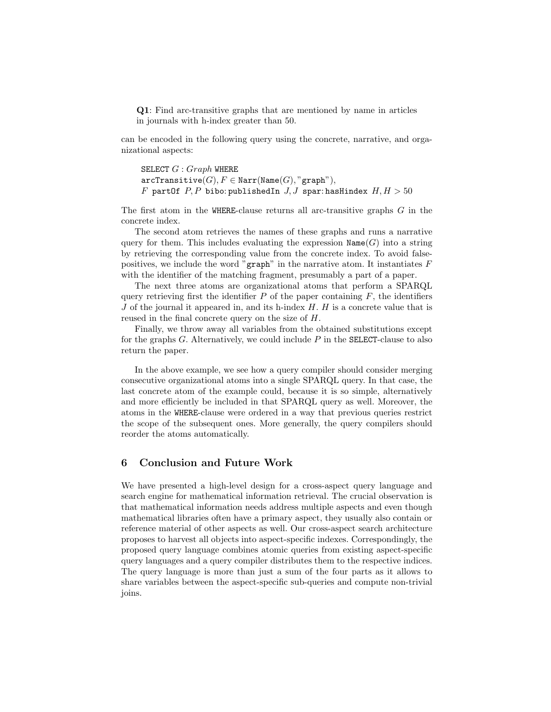Q1: Find arc-transitive graphs that are mentioned by name in articles in journals with h-index greater than 50.

can be encoded in the following query using the concrete, narrative, and organizational aspects:

```
SELECT G : Graph WHERE
\texttt{arcTransitive}(G), F \in \texttt{Narr}(\texttt{Name}(G), \texttt{"graph"),}F partOf P, P bibo: publishedIn J, J spar: hasHindex H, H > 50
```
The first atom in the WHERE-clause returns all arc-transitive graphs  $G$  in the concrete index.

The second atom retrieves the names of these graphs and runs a narrative query for them. This includes evaluating the expression  $\texttt{Name}(G)$  into a string by retrieving the corresponding value from the concrete index. To avoid falsepositives, we include the word "graph" in the narrative atom. It instantiates  $F$ with the identifier of the matching fragment, presumably a part of a paper.

The next three atoms are organizational atoms that perform a SPARQL query retrieving first the identifier  $P$  of the paper containing  $F$ , the identifiers  $J$  of the journal it appeared in, and its h-index  $H$ .  $H$  is a concrete value that is reused in the final concrete query on the size of H.

Finally, we throw away all variables from the obtained substitutions except for the graphs  $G$ . Alternatively, we could include  $P$  in the **SELECT**-clause to also return the paper.

In the above example, we see how a query compiler should consider merging consecutive organizational atoms into a single SPARQL query. In that case, the last concrete atom of the example could, because it is so simple, alternatively and more efficiently be included in that SPARQL query as well. Moreover, the atoms in the WHERE-clause were ordered in a way that previous queries restrict the scope of the subsequent ones. More generally, the query compilers should reorder the atoms automatically.

## <span id="page-13-0"></span>6 Conclusion and Future Work

We have presented a high-level design for a cross-aspect query language and search engine for mathematical information retrieval. The crucial observation is that mathematical information needs address multiple aspects and even though mathematical libraries often have a primary aspect, they usually also contain or reference material of other aspects as well. Our cross-aspect search architecture proposes to harvest all objects into aspect-specific indexes. Correspondingly, the proposed query language combines atomic queries from existing aspect-specific query languages and a query compiler distributes them to the respective indices. The query language is more than just a sum of the four parts as it allows to share variables between the aspect-specific sub-queries and compute non-trivial joins.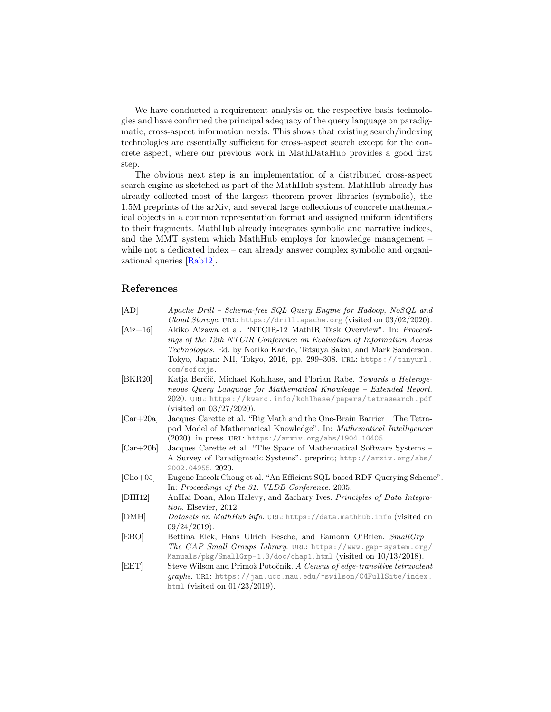We have conducted a requirement analysis on the respective basis technologies and have confirmed the principal adequacy of the query language on paradigmatic, cross-aspect information needs. This shows that existing search/indexing technologies are essentially sufficient for cross-aspect search except for the concrete aspect, where our previous work in MathDataHub provides a good first step.

The obvious next step is an implementation of a distributed cross-aspect search engine as sketched as part of the MathHub system. MathHub already has already collected most of the largest theorem prover libraries (symbolic), the 1.5M preprints of the arXiv, and several large collections of concrete mathematical objects in a common representation format and assigned uniform identifiers to their fragments. MathHub already integrates symbolic and narrative indices, and the MMT system which MathHub employs for knowledge management – while not a dedicated index – can already answer complex symbolic and organizational queries [\[Rab12\]](#page-15-14).

## References

<span id="page-14-9"></span><span id="page-14-8"></span><span id="page-14-7"></span><span id="page-14-6"></span><span id="page-14-5"></span><span id="page-14-4"></span><span id="page-14-3"></span><span id="page-14-2"></span><span id="page-14-1"></span><span id="page-14-0"></span>

| [AD]        | Apache Drill – Schema-free SQL Query Engine for Hadoop, NoSQL and<br>Cloud Storage. URL: https://drill.apache.org (visited on $03/02/2020$ ).                                                                              |
|-------------|----------------------------------------------------------------------------------------------------------------------------------------------------------------------------------------------------------------------------|
| $[Aiz+16]$  | Akiko Aizawa et al. "NTCIR-12 MathIR Task Overview". In: Proceed-<br>ings of the 12th NTCIR Conference on Evaluation of Information Access<br><i>Technologies.</i> Ed. by Noriko Kando, Tetsuya Sakai, and Mark Sanderson. |
|             | Tokyo, Japan: NII, Tokyo, 2016, pp. 299-308. URL: https://tinyurl.<br>com/sofcxjs.                                                                                                                                         |
| [BKR20]     | Katja Berčič, Michael Kohlhase, and Florian Rabe. Towards a Heteroge-                                                                                                                                                      |
|             | neous Query Language for Mathematical Knowledge – Extended Report.<br>2020. URL: https://kwarc.info/kohlhase/papers/tetrasearch.pdf<br>(visited on $03/27/2020$ ).                                                         |
| $[Car+20a]$ | Jacques Carette et al. "Big Math and the One-Brain Barrier – The Tetra-                                                                                                                                                    |
|             | pod Model of Mathematical Knowledge". In: Mathematical Intelligencer                                                                                                                                                       |
|             | (2020). in press. URL: https://arxiv.org/abs/1904.10405.                                                                                                                                                                   |
| $[Car+20b]$ | Jacques Carette et al. "The Space of Mathematical Software Systems –                                                                                                                                                       |
|             | A Survey of Paradigmatic Systems". preprint; http://arxiv.org/abs/<br>2002.04955.2020.                                                                                                                                     |
| $[Cho+05]$  | Eugene Inseok Chong et al. "An Efficient SQL-based RDF Querying Scheme".<br>In: Proceedings of the 31. VLDB Conference. 2005.                                                                                              |
| [DHI12]     | AnHai Doan, Alon Halevy, and Zachary Ives. Principles of Data Integra-<br><i>tion.</i> Elsevier, 2012.                                                                                                                     |
| [DMH]       | Datasets on MathHub.info. URL: https://data.mathhub.info (visited on<br>$09/24/2019$ .                                                                                                                                     |
| [EBO]       | Bettina Eick, Hans Ulrich Besche, and Eamonn O'Brien. SmallGrp –<br>The GAP Small Groups Library. URL: https://www.gap-system.org/<br>Manuals/pkg/SmallGrp-1.3/doc/chap1.html (visited on 10/13/2018).                     |
| [EET]       | Steve Wilson and Primož Potočnik. A Census of edge-transitive tetravalent<br>graphs. URL: https://jan.ucc.nau.edu/~swilson/C4FullSite/index.<br>html (visited on $01/23/2019$ ).                                           |